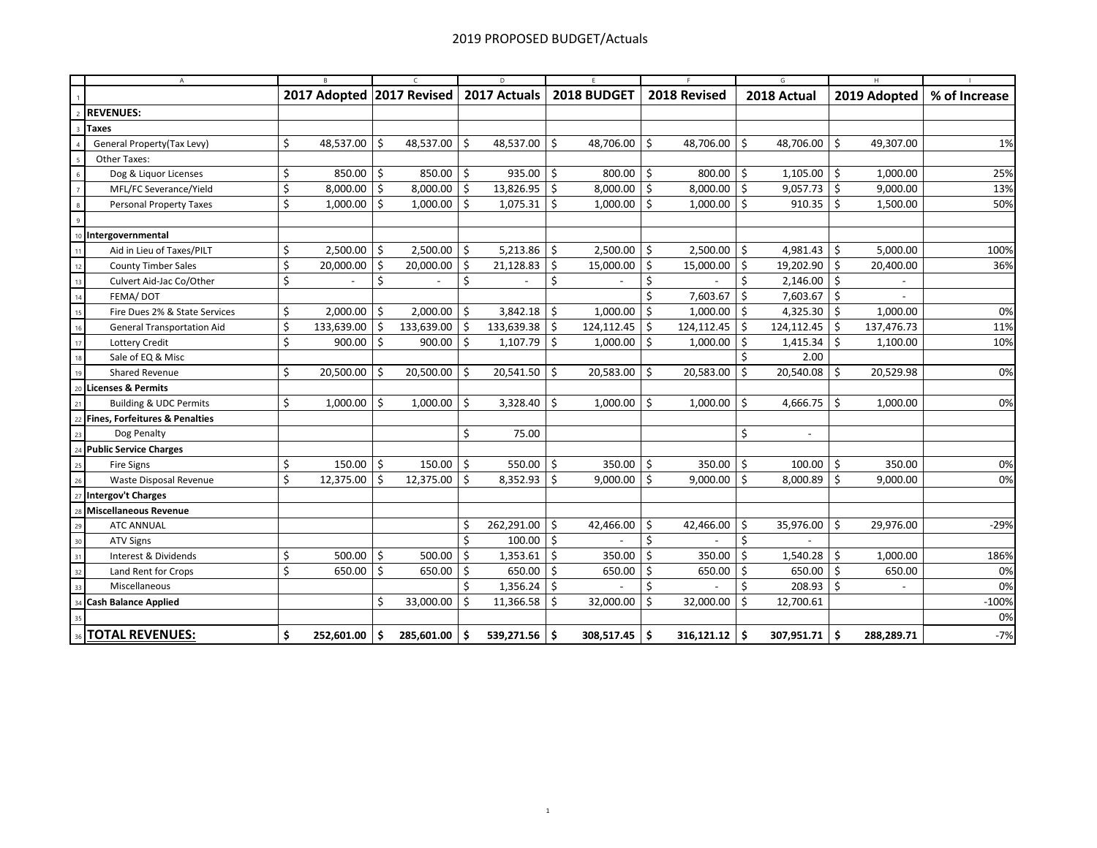|                                                                       | A<br>B                            |    |                           | $\epsilon$ |               | D   |                   |      | E.          | F   |              |     | G                        | H  |              |               |  |
|-----------------------------------------------------------------------|-----------------------------------|----|---------------------------|------------|---------------|-----|-------------------|------|-------------|-----|--------------|-----|--------------------------|----|--------------|---------------|--|
|                                                                       |                                   |    | 2017 Adopted 2017 Revised |            |               |     | 2017 Actuals      |      | 2018 BUDGET |     | 2018 Revised |     | 2018 Actual              |    | 2019 Adopted | % of Increase |  |
| <b>REVENUES:</b>                                                      |                                   |    |                           |            |               |     |                   |      |             |     |              |     |                          |    |              |               |  |
| Taxes<br>$\overline{3}$                                               |                                   |    |                           |            |               |     |                   |      |             |     |              |     |                          |    |              |               |  |
| General Property(Tax Levy)                                            |                                   | \$ | 48,537.00 \$              |            | 48,537.00 \$  |     | 48,537.00         | l\$  | 48,706.00   | Ŝ.  | 48,706.00    | Ŝ.  | 48,706.00                | Ŝ. | 49,307.00    | 1%            |  |
| Other Taxes:                                                          |                                   |    |                           |            |               |     |                   |      |             |     |              |     |                          |    |              |               |  |
| Dog & Liquor Licenses<br>6                                            |                                   | \$ | $850.00$ \$               |            | $850.00$ \$   |     | 935.00            | 5 ا  | 800.00      | \$  | 800.00       | -\$ | $1,105.00$   \$          |    | 1,000.00     | 25%           |  |
| $\overline{7}$                                                        | MFL/FC Severance/Yield            | \$ | $8,000.00$ \$             |            | $8,000.00$ \$ |     | 13,826.95         | \$   | 8,000.00    | -\$ | 8,000.00     | Ŝ.  | $9,057.73$ \$            |    | 9,000.00     | 13%           |  |
| $\boldsymbol{8}$                                                      | <b>Personal Property Taxes</b>    | \$ | $1,000.00$ \$             |            | $1,000.00$ \$ |     | $1,075.31$ \$     |      | 1,000.00    | Ŝ.  | 1,000.00     | ۱Ś  | $910.35$ \$              |    | 1,500.00     | 50%           |  |
| $\overline{9}$                                                        |                                   |    |                           |            |               |     |                   |      |             |     |              |     |                          |    |              |               |  |
| Intergovernmental                                                     |                                   |    |                           |            |               |     |                   |      |             |     |              |     |                          |    |              |               |  |
| 11                                                                    | Aid in Lieu of Taxes/PILT         | \$ | 2,500.00 \$               |            | $2,500.00$ \$ |     | 5,213.86          | ∣\$  | 2,500.00    | \$  | 2,500.00     | -\$ | $4,981.43$ \$            |    | 5,000.00     | 100%          |  |
| <b>County Timber Sales</b><br>12                                      |                                   | \$ | 20,000.00 \$              |            | 20,000.00     | -\$ | 21,128.83         | \$   | 15,000.00   | \$  | 15,000.00    | Ŝ.  | 19,202.90 \$             |    | 20,400.00    | 36%           |  |
| 13                                                                    | Culvert Aid-Jac Co/Other          | \$ |                           | \$         |               | Ś.  |                   | Ś.   |             | Ś.  |              | \$  | $2,146.00$   \$          |    |              |               |  |
| FEMA/DOT<br>14                                                        |                                   |    |                           |            |               |     |                   |      |             | Ś.  | 7,603.67     | \$  | $7,603.67$ \$            |    |              |               |  |
| 15                                                                    | Fire Dues 2% & State Services     | \$ | 2,000.00 \$               |            | 2,000.00      | \$  | 3,842.18          | \$   | 1,000.00    | \$  | 1,000.00     | \$  | 4,325.30 $\vert$ \$      |    | 1,000.00     | 0%            |  |
| 16                                                                    | <b>General Transportation Aid</b> | \$ | 133,639.00 \$             |            | 133,639.00    | -\$ | 133,639.38        | \$   | 124,112.45  | Ŝ.  | 124,112.45   | Ŝ.  | $124, 112.45$ \$         |    | 137,476.73   | 11%           |  |
| Lottery Credit<br>17                                                  |                                   | \$ | $900.00$ \$               |            | 900.00        | Ś.  | 1,107.79          | Ŝ.   | 1,000.00    | Ś.  | 1,000.00     | \$  | 1,415.34                 | Ŝ. | 1,100.00     | 10%           |  |
| Sale of EQ & Misc<br>18                                               |                                   |    |                           |            |               |     |                   |      |             |     |              |     | 2.00                     |    |              |               |  |
| Shared Revenue<br>19                                                  |                                   | \$ | 20,500.00 \$              |            | 20,500.00     | Ŝ.  | 20,541.50         | S.   | 20,583.00   | Ŝ.  | 20,583.00    | Ŝ.  | 20,540.08                | Ŝ. | 20,529.98    | 0%            |  |
| <b>Licenses &amp; Permits</b><br>20                                   |                                   |    |                           |            |               |     |                   |      |             |     |              |     |                          |    |              |               |  |
| 21                                                                    | <b>Building &amp; UDC Permits</b> | \$ | 1,000.00                  | Ŝ.         | 1,000.00      | Ŝ.  | 3,328.40          | -\$  | 1,000.00    | Ŝ.  | 1,000.00     | Ŝ.  | 4,666.75                 | Ŝ. | 1,000.00     | 0%            |  |
| <b>Fines, Forfeitures &amp; Penalties</b><br>$\overline{\mathcal{L}}$ |                                   |    |                           |            |               |     |                   |      |             |     |              |     |                          |    |              |               |  |
| Dog Penalty<br>23                                                     |                                   |    |                           |            |               | \$  | 75.00             |      |             |     |              | \$  | $\overline{\phantom{a}}$ |    |              |               |  |
| <b>Public Service Charges</b>                                         |                                   |    |                           |            |               |     |                   |      |             |     |              |     |                          |    |              |               |  |
| <b>Fire Signs</b><br>25                                               |                                   | \$ | $150.00$ \$               |            | 150.00        | \$  | 550.00 $\vert$ \$ |      | 350.00      | Ŝ.  | 350.00       | \$  | 100.00                   | S. | 350.00       | 0%            |  |
| 26                                                                    | Waste Disposal Revenue            | Ŝ. | $12,375.00$ \$            |            | 12,375.00     | Ŝ.  | 8,352.93          | Ŝ.   | 9,000.00    | Ŝ.  | 9,000.00     | -Ś  | 8,000.89                 | Ŝ. | 9,000.00     | 0%            |  |
| Intergov't Charges<br>27                                              |                                   |    |                           |            |               |     |                   |      |             |     |              |     |                          |    |              |               |  |
| <b>Miscellaneous Revenue</b>                                          |                                   |    |                           |            |               |     |                   |      |             |     |              |     |                          |    |              |               |  |
| <b>ATC ANNUAL</b><br>29                                               |                                   |    |                           |            |               |     | 262,291.00 \$     |      | 42,466.00   | Ś   | 42,466.00    | -\$ | 35,976.00                | Ŝ  | 29,976.00    | $-29%$        |  |
| <b>ATV Signs</b><br>30                                                |                                   |    |                           |            |               | Ś   | 100.00            | l \$ |             | Ś   |              | Ś   |                          |    |              |               |  |
| Interest & Dividends<br>31                                            |                                   | \$ | 500.00                    | Ŝ.         | 500.00        | \$  | 1,353.61          | \$   | 350.00      | Ś   | 350.00       | \$  | $1,540.28$ \$            |    | 1,000.00     | 186%          |  |
| Land Rent for Crops<br>32                                             |                                   | \$ | 650.00                    | \$         | 650.00        | ۱\$ | 650.00            | ۱\$  | 650.00      | Ś   | 650.00       | \$  | 650.00                   | Ŝ. | 650.00       | 0%            |  |
| Miscellaneous<br>33                                                   |                                   |    |                           |            |               |     | 1,356.24          | \$   |             | Ś   |              | Ś   | 208.93                   | Ŝ. |              | 0%            |  |
| <b>Cash Balance Applied</b>                                           |                                   |    |                           | Ś.         | 33,000.00     | -Ś  | 11,366.58         | Ŝ.   | 32,000.00   | Ś.  | 32,000.00    | Ŝ.  | 12,700.61                |    |              | $-100%$       |  |
|                                                                       |                                   |    |                           |            |               |     |                   |      |             |     |              |     |                          |    |              | 0%            |  |
| <b>TOTAL REVENUES:</b>                                                |                                   | \$ | 252,601.00                | Ŝ.         | 285,601.00    | \$. | 539,271.56        | -\$  | 308,517.45  | -\$ | 316,121.12   | -\$ | $307,951.71$ \$          |    | 288,289.71   | $-7%$         |  |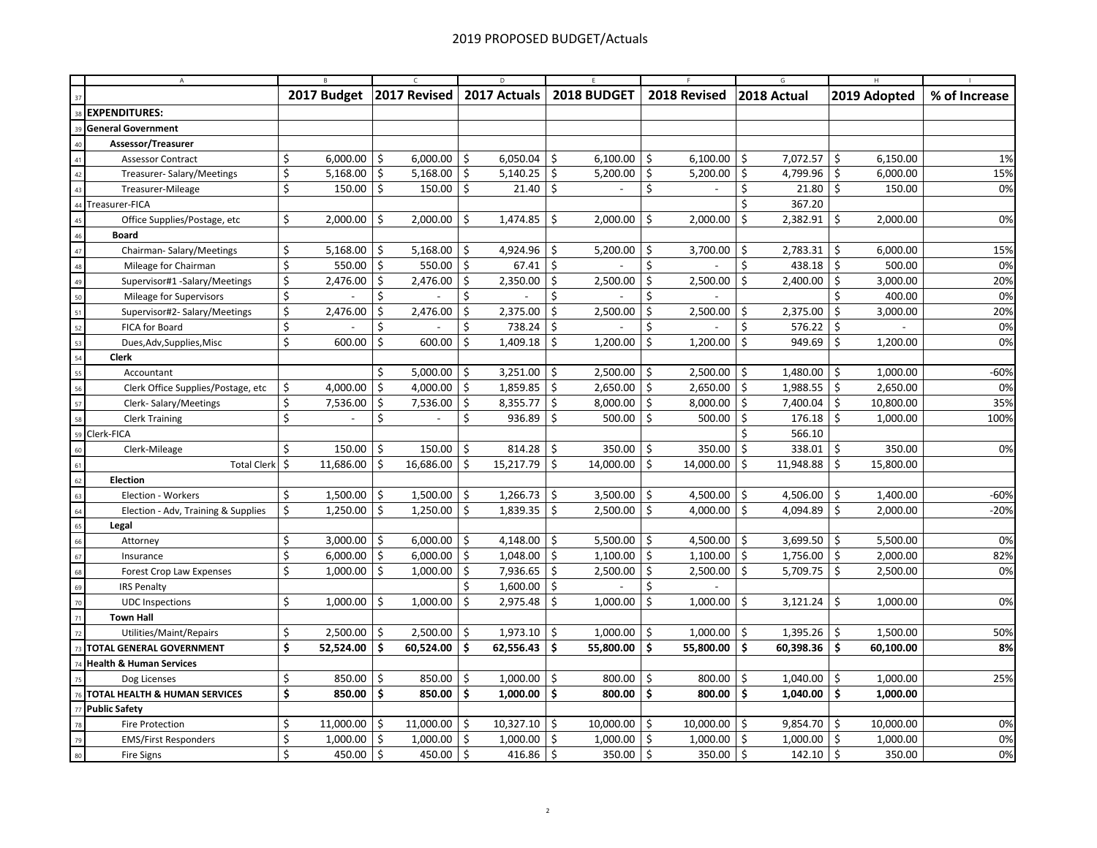|                 | $\mathsf{A}$                        |             |                     | $\epsilon$              |     | D                    |                     |               |                     |              | G.  |             | H               |               |  |
|-----------------|-------------------------------------|-------------|---------------------|-------------------------|-----|----------------------|---------------------|---------------|---------------------|--------------|-----|-------------|-----------------|---------------|--|
| 37              |                                     | 2017 Budget |                     | 2017 Revised            |     | 2017 Actuals         |                     | 2018 BUDGET   |                     | 2018 Revised |     | 2018 Actual | 2019 Adopted    | % of Increase |  |
| 38              | <b>EXPENDITURES:</b>                |             |                     |                         |     |                      |                     |               |                     |              |     |             |                 |               |  |
| 39              | <b>General Government</b>           |             |                     |                         |     |                      |                     |               |                     |              |     |             |                 |               |  |
| 40              | Assessor/Treasurer                  |             |                     |                         |     |                      |                     |               |                     |              |     |             |                 |               |  |
| 41              | Assessor Contract                   | \$          | $6,000.00$ \$       | 6,000.00                | \$  | 6,050.04             | \$                  | 6,100.00      | \$                  | 6,100.00     | \$  | 7,072.57    | Ŝ.<br>6,150.00  | 1%            |  |
| 42              | Treasurer-Salary/Meetings           | \$          | 5,168.00 $\vert$ \$ | 5,168.00                | \$  | 5,140.25 $\vert$ \$  |                     | 5,200.00      | \$                  | 5,200.00     | \$  | 4,799.96    | Ś<br>6,000.00   | 15%           |  |
| 43              | Treasurer-Mileage                   | \$          | $150.00$   \$       | 150.00                  | -\$ | 21.40                | \$                  |               | \$                  |              | \$  | 21.80       | \$<br>150.00    | 0%            |  |
| 44              | Treasurer-FICA                      |             |                     |                         |     |                      |                     |               |                     |              | Ŝ.  | 367.20      |                 |               |  |
| 45              | Office Supplies/Postage, etc        | \$          | $2,000.00$ \$       | 2,000.00                | \$  | $1,474.85$ \$        |                     | 2,000.00      | \$                  | 2,000.00     | \$  | 2,382.91    | \$<br>2,000.00  | 0%            |  |
| 46              | <b>Board</b>                        |             |                     |                         |     |                      |                     |               |                     |              |     |             |                 |               |  |
| $\overline{47}$ | Chairman-Salary/Meetings            | \$          | $5,168.00$ \$       | 5,168.00                | -\$ | 4,924.96             | \$                  | 5,200.00      | \$                  | 3,700.00     | \$  | 2,783.31    | \$<br>6,000.00  | 15%           |  |
| 48              | Mileage for Chairman                | \$          | 550.00 \$           | 550.00                  | \$  | 67.41                | \$                  |               | \$                  |              | Ś.  | 438.18      | \$<br>500.00    | 0%            |  |
| 49              | Supervisor#1 -Salary/Meetings       | \$          | $2,476.00$ \$       | 2,476.00                | \$  | 2,350.00             | \$                  | 2,500.00      | \$                  | 2,500.00     | \$  | 2,400.00    | \$<br>3,000.00  | 20%           |  |
| 50              | Mileage for Supervisors             | \$          |                     | \$                      | Ś   |                      | \$                  |               | \$                  |              |     |             | Ś<br>400.00     | 0%            |  |
| 51              | Supervisor#2- Salary/Meetings       | \$          | 2,476.00            | \$<br>2,476.00          | \$  | 2,375.00             | \$                  | 2,500.00      | \$                  | 2,500.00     | \$  | 2,375.00    | \$<br>3,000.00  | 20%           |  |
| 52              | FICA for Board                      | \$          |                     | Ś                       | Ś   | 738.24               | \$                  |               | \$                  |              | \$  | 576.22      | \$              | 0%            |  |
| 53              | Dues, Adv, Supplies, Misc           | \$          | $600.00$ \$         | 600.00                  | \$  | 1,409.18             | \$                  | 1,200.00      | \$                  | 1,200.00     | \$  | 949.69      | \$<br>1,200.00  | 0%            |  |
| 54              | <b>Clerk</b>                        |             |                     |                         |     |                      |                     |               |                     |              |     |             |                 |               |  |
| 55              | Accountant                          |             |                     | Ś<br>5,000.00           | \$  | 3,251.00             | \$                  | 2,500.00      | -\$                 | 2,500.00     | \$  | 1,480.00    | Ś<br>1,000.00   | $-60%$        |  |
| 56              | Clerk Office Supplies/Postage, etc  | \$          | 4,000.00            | 5 ا<br>4,000.00         | \$  | 1,859.85             | \$                  | 2,650.00      | Ŝ.                  | 2,650.00     | \$  | 1,988.55    | \$<br>2,650.00  | 0%            |  |
| 57              | Clerk-Salary/Meetings               | \$          | 7,536.00            | \$<br>7,536.00          | \$  | 8,355.77             | $\ddot{\mathsf{S}}$ | $8,000.00$ \$ |                     | 8,000.00     | \$  | 7,400.04    | \$<br>10,800.00 | 35%           |  |
| 58              | <b>Clerk Training</b>               | Ś           |                     | \$<br>$\overline{a}$    | Ś   | 936.89               | \$                  | 500.00        | Ŝ.                  | 500.00       | \$  | 176.18      | Ś.<br>1,000.00  | 100%          |  |
| 59              | Clerk-FICA                          |             |                     |                         |     |                      |                     |               |                     |              | Ś   | 566.10      |                 |               |  |
| 60              | Clerk-Mileage                       | \$          | 150.00              | \$<br>150.00            | \$  | 814.28               | \$                  | 350.00        | \$                  | 350.00       | \$  | 338.01      | \$<br>350.00    | 0%            |  |
| 61              | <b>Total Clerk</b>                  | \$          | 11,686.00           | $\vert$ \$<br>16,686.00 | \$  | 15,217.79            | Ŝ.                  | 14,000.00     | Ŝ.                  | 14,000.00    | Ŝ.  | 11,948.88   | Ś<br>15,800.00  |               |  |
| 62              | <b>Election</b>                     |             |                     |                         |     |                      |                     |               |                     |              |     |             |                 |               |  |
| 63              | Election - Workers                  | \$          | $1,500.00$ \$       | 1,500.00                | \$  | 1,266.73             | \$                  | 3,500.00      | \$                  | 4,500.00     | \$  | 4,506.00    | \$<br>1,400.00  | $-60%$        |  |
| 64              | Election - Adv, Training & Supplies | \$          | $1,250.00$ \$       | 1,250.00                | \$  | 1,839.35             | \$                  | 2,500.00      | \$                  | 4,000.00     | \$  | 4,094.89    | \$<br>2,000.00  | $-20%$        |  |
| 65              | Legal                               |             |                     |                         |     |                      |                     |               |                     |              |     |             |                 |               |  |
| 66              | Attorney                            | \$          | $3,000.00$ \$       | 6,000.00                | -\$ | 4,148.00             | \$                  | 5,500.00      | \$                  | 4,500.00     | \$  | 3,699.50    | Ś<br>5,500.00   | 0%            |  |
| 67              | Insurance                           | \$          | $6,000.00$ \$       | 6,000.00                | S.  | 1,048.00             | \$                  | 1,100.00      | \$                  | 1,100.00     | \$  | 1,756.00    | \$<br>2,000.00  | 82%           |  |
| 68              | <b>Forest Crop Law Expenses</b>     | \$          | $1,000.00$ \$       | 1,000.00                | S.  | 7,936.65             | Ŝ.                  | 2,500.00      | \$                  | 2,500.00     | Ŝ.  | 5,709.75    | \$<br>2,500.00  | 0%            |  |
| 69              | <b>IRS Penalty</b>                  |             |                     |                         | Ś.  | 1,600.00             | $\ddot{\mathsf{S}}$ |               | \$                  |              |     |             |                 |               |  |
| 70              | <b>UDC</b> Inspections              | \$          | $1,000.00$ \$       | 1,000.00                | \$  | 2,975.48             | Ŝ.                  | 1,000.00      | \$                  | 1,000.00     | \$  | 3,121.24    | \$<br>1,000.00  | 0%            |  |
| 71              | <b>Town Hall</b>                    |             |                     |                         |     |                      |                     |               |                     |              |     |             |                 |               |  |
| 72              | Utilities/Maint/Repairs             | \$          | $2,500.00$ \$       | 2,500.00                | \$  | 1,973.10             | \$                  | 1,000.00      | \$                  | 1,000.00     | \$  | 1,395.26    | \$<br>1,500.00  | 50%           |  |
| 73              | <b>TOTAL GENERAL GOVERNMENT</b>     | \$          | 52,524.00 \$        | 60,524.00               | \$  | 62,556.43            | \$                  | 55,800.00     | \$.                 | 55,800.00    | \$. | 60,398.36   | \$<br>60,100.00 | 8%            |  |
| 74              | <b>Health &amp; Human Services</b>  |             |                     |                         |     |                      |                     |               |                     |              |     |             |                 |               |  |
| 75              | Dog Licenses                        | \$          | $850.00$ \$         | 850.00                  | \$  | 1,000.00             | \$                  | 800.00        | \$                  | 800.00       | \$  | 1,040.00    | \$<br>1,000.00  | 25%           |  |
| 76              | TOTAL HEALTH & HUMAN SERVICES       | \$          | 850.00 \$           | 850.00                  | -\$ | $1,000.00$ \$        |                     | 800.00 \$     |                     | 800.00       | \$  | 1,040.00    | \$<br>1,000.00  |               |  |
| 77              | <b>Public Safety</b>                |             |                     |                         |     |                      |                     |               |                     |              |     |             |                 |               |  |
| 78              | Fire Protection                     | \$          | $11,000.00$ \$      | 11,000.00               | Ŝ.  | 10,327.10            | \$                  | 10,000.00     | \$                  | 10,000.00    | \$  | 9,854.70    | \$<br>10,000.00 | 0%            |  |
| 79              | <b>EMS/First Responders</b>         | \$          | $1,000.00$ \$       | 1,000.00                | -\$ | 1,000.00             | \$                  | 1,000.00      | $\ddot{\mathsf{S}}$ | 1,000.00     | \$  | 1,000.00    | \$<br>1,000.00  | 0%            |  |
| 80              | Fire Signs                          | Ś           | 450.00 \$           | 450.00                  | \$  | 416.86 $\frac{1}{2}$ |                     | 350.00        | Ŝ.                  | 350.00       | Ś.  | 142.10      | \$<br>350.00    | 0%            |  |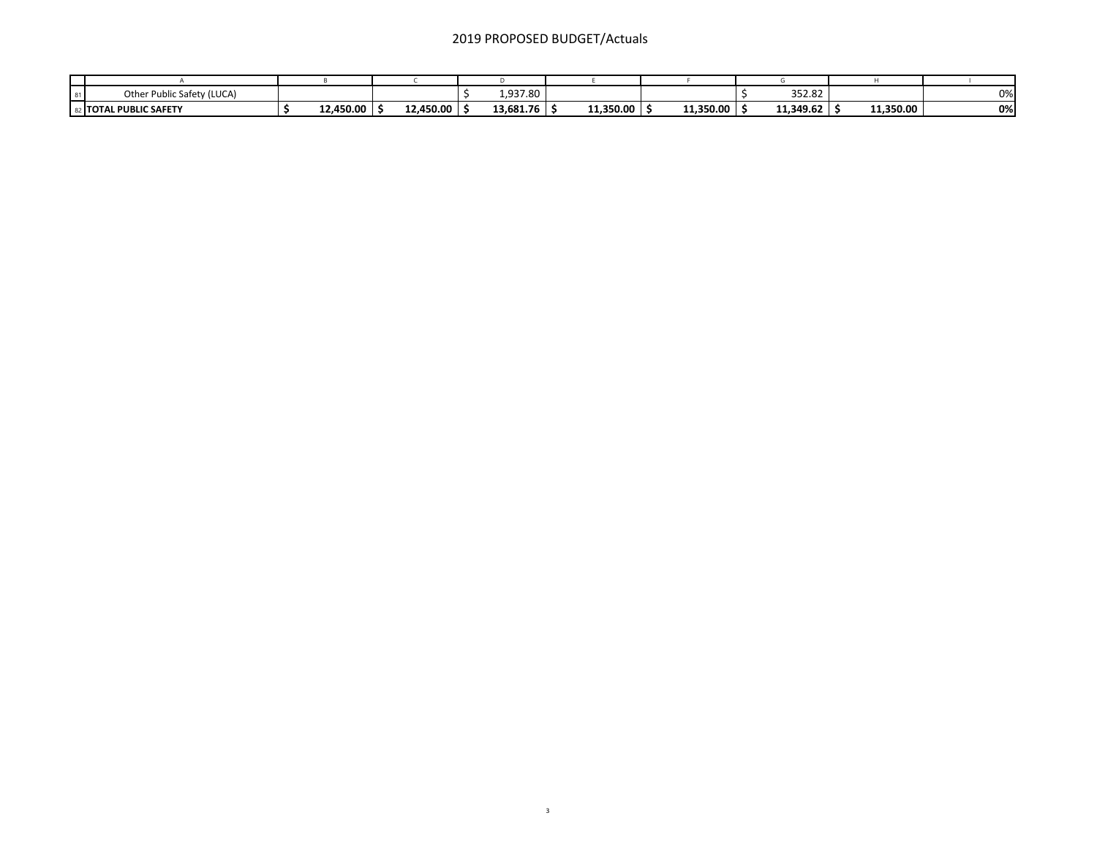## 2019 PROPOSED BUDGET/Actuals

| ublic Safety (LUCA)<br>Other Pu |           |           | 1,937.80  |           |           | 352.82    |           | 0% |
|---------------------------------|-----------|-----------|-----------|-----------|-----------|-----------|-----------|----|
| L PUBLIC SAFETY<br>≀ ITOTAL     | 12,450.00 | 12,450.00 | 13,681.76 | 11.350.00 | 11,350.00 | 11,349.62 | 11,350.00 | 0% |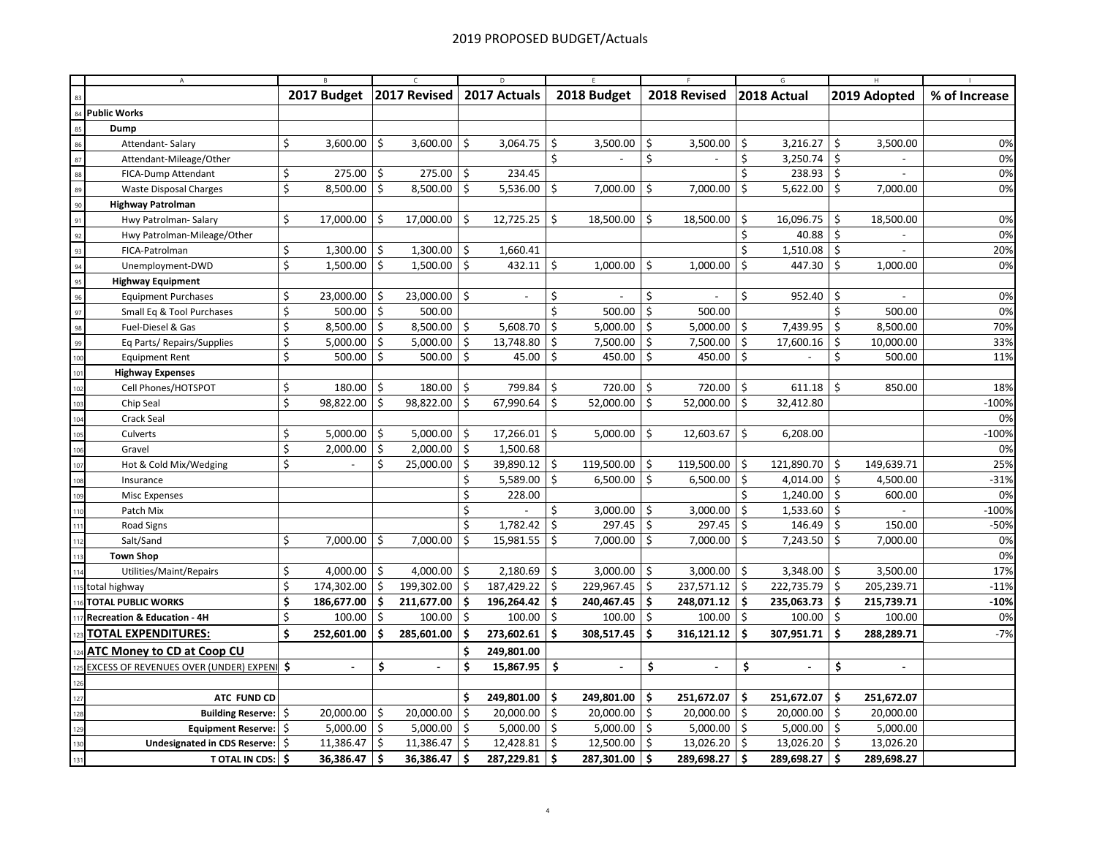|                           | $\mathsf{A}$                                    |    |                          |            |              | D   |                |     |               |     |              |     |                |                   |               |  |
|---------------------------|-------------------------------------------------|----|--------------------------|------------|--------------|-----|----------------|-----|---------------|-----|--------------|-----|----------------|-------------------|---------------|--|
| 83                        |                                                 |    | 2017 Budget              |            | 2017 Revised |     | 2017 Actuals   |     | 2018 Budget   |     | 2018 Revised |     | 2018 Actual    | 2019 Adopted      | % of Increase |  |
| <b>Public Works</b><br>84 |                                                 |    |                          |            |              |     |                |     |               |     |              |     |                |                   |               |  |
| 85                        | Dump                                            |    |                          |            |              |     |                |     |               |     |              |     |                |                   |               |  |
| 86                        | Attendant-Salary                                | \$ | $3,600.00$ \$            |            | 3,600.00     | \$  | 3,064.75       | \$  | 3,500.00      | \$  | 3,500.00     | \$  | 3,216.27       | \$<br>3,500.00    | 0%            |  |
| 87                        | Attendant-Mileage/Other                         |    |                          |            |              |     |                | Ś.  |               | \$  |              | Ś.  | 3,250.74       | Ś                 | 0%            |  |
| 88                        | FICA-Dump Attendant                             | \$ | 275.00                   | $\vert$ \$ | 275.00       | \$  | 234.45         |     |               |     |              | \$  | $238.93$ \$    |                   | 0%            |  |
| 89                        | <b>Waste Disposal Charges</b>                   | \$ | 8,500.00 \$              |            | 8,500.00     | -\$ | 5,536.00       | \$  | 7,000.00      | \$  | 7,000.00     | \$  | 5,622.00       | \$<br>7,000.00    | 0%            |  |
| 90                        | <b>Highway Patrolman</b>                        |    |                          |            |              |     |                |     |               |     |              |     |                |                   |               |  |
| 91                        | Hwy Patrolman- Salary                           | \$ | 17,000.00 \$             |            | 17,000.00    | \$  | $12,725.25$ \$ |     | 18,500.00     | \$  | 18,500.00    | \$  | 16,096.75      | \$<br>18,500.00   | 0%            |  |
| 92                        | Hwy Patrolman-Mileage/Other                     |    |                          |            |              |     |                |     |               |     |              | Ś.  | 40.88          | \$                | 0%            |  |
| 93                        | FICA-Patrolman                                  | \$ | $1,300.00$ \$            |            | 1,300.00     | \$  | 1,660.41       |     |               |     |              | \$  | 1,510.08       | \$                | 20%           |  |
| 94                        | Unemployment-DWD                                | \$ | $1,500.00$ \$            |            | 1,500.00     | S.  | $432.11$ \$    |     | 1,000.00      | \$  | 1,000.00     | \$  | 447.30         | \$<br>1,000.00    | 0%            |  |
| 95                        | <b>Highway Equipment</b>                        |    |                          |            |              |     |                |     |               |     |              |     |                |                   |               |  |
| 96                        | <b>Equipment Purchases</b>                      | \$ | 23,000.00 \$             |            | 23,000.00    | \$  |                | \$  |               | \$  |              | \$  | 952.40         | \$                | 0%            |  |
| 97                        | Small Eq & Tool Purchases                       | \$ | $500.00$   \$            |            | 500.00       |     |                | Ś.  | 500.00        | \$  | 500.00       |     |                | Ś<br>500.00       | 0%            |  |
| 98                        | Fuel-Diesel & Gas                               | \$ | $8,500.00$ \$            |            | 8,500.00     | Ŝ.  | 5,608.70       | \$  | 5,000.00      | Ŝ.  | 5,000.00     | Ŝ.  | 7,439.95       | \$<br>8,500.00    | 70%           |  |
| 99                        | Eq Parts/ Repairs/Supplies                      | \$ | 5,000.00 $\vert$ \$      |            | 5,000.00     | \$  | 13,748.80      | \$  | 7,500.00      | Ŝ.  | 7,500.00     | \$  | 17,600.16      | \$<br>10,000.00   | 33%           |  |
| 10 <sub>0</sub>           | <b>Equipment Rent</b>                           | \$ | $500.00$ \$              |            | 500.00       | 5   | 45.00          | \$  | 450.00        | S.  | 450.00       | \$  |                | \$<br>500.00      | 11%           |  |
| 101                       | <b>Highway Expenses</b>                         |    |                          |            |              |     |                |     |               |     |              |     |                |                   |               |  |
| 10 <sub>i</sub>           | Cell Phones/HOTSPOT                             | \$ | $180.00$ \$              |            | 180.00       | \$  | 799.84         | \$  | 720.00        | \$  | 720.00       | \$  | 611.18         | \$<br>850.00      | 18%           |  |
| 10 <sub>3</sub>           | Chip Seal                                       | \$ | 98,822.00 \$             |            | 98,822.00    | -\$ | 67,990.64      | \$  | 52,000.00     | \$  | 52,000.00    | S.  | 32,412.80      |                   | $-100%$       |  |
| 10 <sub>4</sub>           | Crack Seal                                      |    |                          |            |              |     |                |     |               |     |              |     |                |                   | 0%            |  |
| 10!                       | Culverts                                        | \$ | 5,000.00                 | $\vert$ \$ | 5,000.00     | \$  | 17,266.01      | \$  | 5,000.00      | \$  | 12,603.67    | \$  | 6,208.00       |                   | $-100%$       |  |
| 106                       | Gravel                                          | \$ | $2,000.00$ \$            |            | 2,000.00     | -\$ | 1,500.68       |     |               |     |              |     |                |                   | 0%            |  |
| 107                       | Hot & Cold Mix/Wedging                          | \$ |                          | \$         | 25,000.00    | \$  | 39,890.12 \$   |     | 119,500.00 \$ |     | 119,500.00   | \$  | 121,890.70     | \$<br>149,639.71  | 25%           |  |
| 100                       | Insurance                                       |    |                          |            |              | Ś   | 5,589.00       | \$  | $6,500.00$ \$ |     | 6,500.00     | \$  | 4,014.00       | \$<br>4,500.00    | $-31%$        |  |
| 109                       | <b>Misc Expenses</b>                            |    |                          |            |              | Ś   | 228.00         |     |               |     |              | Ś.  | 1,240.00       | \$<br>600.00      | 0%            |  |
|                           | Patch Mix                                       |    |                          |            |              | Ś   |                | \$  | 3,000.00      | -\$ | 3,000.00     | \$  | 1,533.60       | \$                | $-100%$       |  |
| 11                        | Road Signs                                      |    |                          |            |              | Ś   | 1,782.42       | \$  | $297.45$ \$   |     | 297.45       | \$  | 146.49         | \$<br>150.00      | $-50%$        |  |
|                           | Salt/Sand                                       | \$ | $7,000.00$ \$            |            | 7,000.00     | Ś   | $15,981.55$ \$ |     | $7,000.00$ \$ |     | 7,000.00     | Ŝ.  | 7,243.50       | Ś<br>7,000.00     | 0%            |  |
|                           | <b>Town Shop</b>                                |    |                          |            |              |     |                |     |               |     |              |     |                |                   | 0%            |  |
|                           | Utilities/Maint/Repairs                         | \$ | 4,000.00 \$              |            | 4,000.00     | \$  | 2,180.69       | \$  | 3,000.00      | \$  | 3,000.00     | \$  | 3,348.00       | \$<br>3,500.00    | 17%           |  |
|                           | total highway                                   | \$ | 174,302.00 \$            |            | 199,302.00   | S.  | 187,429.22     | \$  | 229,967.45 \$ |     | 237,571.12   | \$  | 222,735.79     | \$<br>205,239.71  | $-11%$        |  |
|                           | <b>TOTAL PUBLIC WORKS</b>                       | \$ | 186,677.00 \$            |            | 211,677.00   | -\$ | 196,264.42     | Ŝ.  | 240,467.45    | -\$ | 248,071.12   | -\$ | 235,063.73     | \$<br>215,739.71  | $-10%$        |  |
|                           | Recreation & Education - 4H                     | \$ | $100.00$ \$              |            | 100.00       | 5   | 100.00         | \$  | $100.00$ \$   |     | 100.00       | \$  | $100.00$ \$    | 100.00            | 0%            |  |
|                           | <u>TOTAL EXPENDITURES:</u>                      | Ś  | 252,601.00               | ۱s         | 285,601.00   | Ś.  | 273,602.61     | Ŝ.  | 308,517.45    | Ŝ.  | 316,121.12   | Ŝ.  | 307,951.71     | Ś<br>288,289.71   | $-7%$         |  |
|                           | <b>ATC Money to CD at Coop CU</b>               |    |                          |            |              | \$  | 249,801.00     |     |               |     |              |     |                |                   |               |  |
|                           | <u>EXCESS OF REVENUES OVER (UNDER) EXPENIES</u> |    | $\overline{\phantom{a}}$ | \$         | $\sim$       | \$  | 15,867.95      |     | \$            | \$  |              | \$  | $\overline{a}$ | \$                |               |  |
|                           |                                                 |    |                          |            |              |     |                |     |               |     |              |     |                |                   |               |  |
|                           | ATC FUND CD                                     |    |                          |            |              | \$  | 249,801.00     | -\$ | 249,801.00    | \$  | 251,672.07   | \$  | 251,672.07     | 251,672.07<br>\$. |               |  |
|                           | <b>Building Reserve:</b>                        | \$ | 20,000.00                | l \$       | 20,000.00    | S.  | 20,000.00      | \$  | 20,000.00     | \$  | 20,000.00    | S.  | 20,000.00      | \$<br>20,000.00   |               |  |
|                           | Equipment Reserve:   \$                         |    | $5,000.00$ \$            |            | 5,000.00     | -\$ | $5,000.00$ \$  |     | $5,000.00$ \$ |     | 5,000.00     | Ŝ.  | $5,000.00$ \$  | 5,000.00          |               |  |
| 130                       | Undesignated in CDS Reserve:   \$               |    | 11,386.47 \$             |            | 11,386.47    | Ś.  | 12,428.81      | \$  | 12,500.00 \$  |     | 13,026.20    | S.  | 13,026.20      | Ŝ.<br>13,026.20   |               |  |
| 131                       | T OTAL IN CDS: \$                               |    | 36,386.47 \$             |            | 36,386.47    | \$  | 287,229.81     | Ŝ.  | 287,301.00    | -\$ | 289,698.27   | -\$ | 289,698.27     | Ś<br>289,698.27   |               |  |